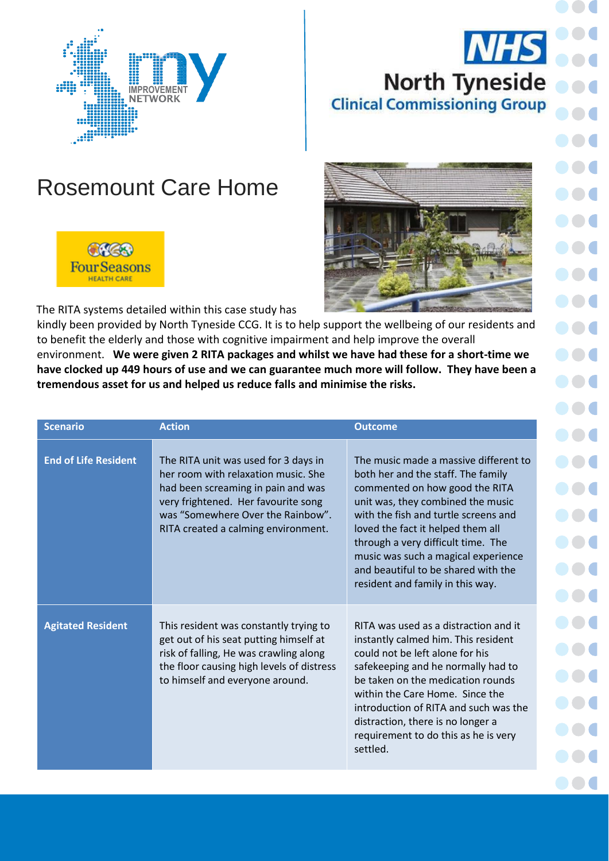## **NHS North Tyneside Clinical Commissioning Group**



## Rosemount Care Home



The RITA systems detailed within this case study has

kindly been provided by North Tyneside CCG. It is to help support the wellbeing of our residents and to benefit the elderly and those with cognitive impairment and help improve the overall environment. **We were given 2 RITA packages and whilst we have had these for a short-time we have clocked up 449 hours of use and we can guarantee much more will follow. They have been a tremendous asset for us and helped us reduce falls and minimise the risks.**

| <b>Scenario</b>             | <b>Action</b>                                                                                                                                                                                                                        | <b>Outcome</b>                                                                                                                                                                                                                                                                                                                                                                          |
|-----------------------------|--------------------------------------------------------------------------------------------------------------------------------------------------------------------------------------------------------------------------------------|-----------------------------------------------------------------------------------------------------------------------------------------------------------------------------------------------------------------------------------------------------------------------------------------------------------------------------------------------------------------------------------------|
| <b>End of Life Resident</b> | The RITA unit was used for 3 days in<br>her room with relaxation music. She<br>had been screaming in pain and was<br>very frightened. Her favourite song<br>was "Somewhere Over the Rainbow".<br>RITA created a calming environment. | The music made a massive different to<br>both her and the staff. The family<br>commented on how good the RITA<br>unit was, they combined the music<br>with the fish and turtle screens and<br>loved the fact it helped them all<br>through a very difficult time. The<br>music was such a magical experience<br>and beautiful to be shared with the<br>resident and family in this way. |
| <b>Agitated Resident</b>    | This resident was constantly trying to<br>get out of his seat putting himself at<br>risk of falling, He was crawling along<br>the floor causing high levels of distress<br>to himself and everyone around.                           | RITA was used as a distraction and it<br>instantly calmed him. This resident<br>could not be left alone for his<br>safekeeping and he normally had to<br>be taken on the medication rounds<br>within the Care Home. Since the<br>introduction of RITA and such was the<br>distraction, there is no longer a<br>requirement to do this as he is very<br>settled.                         |